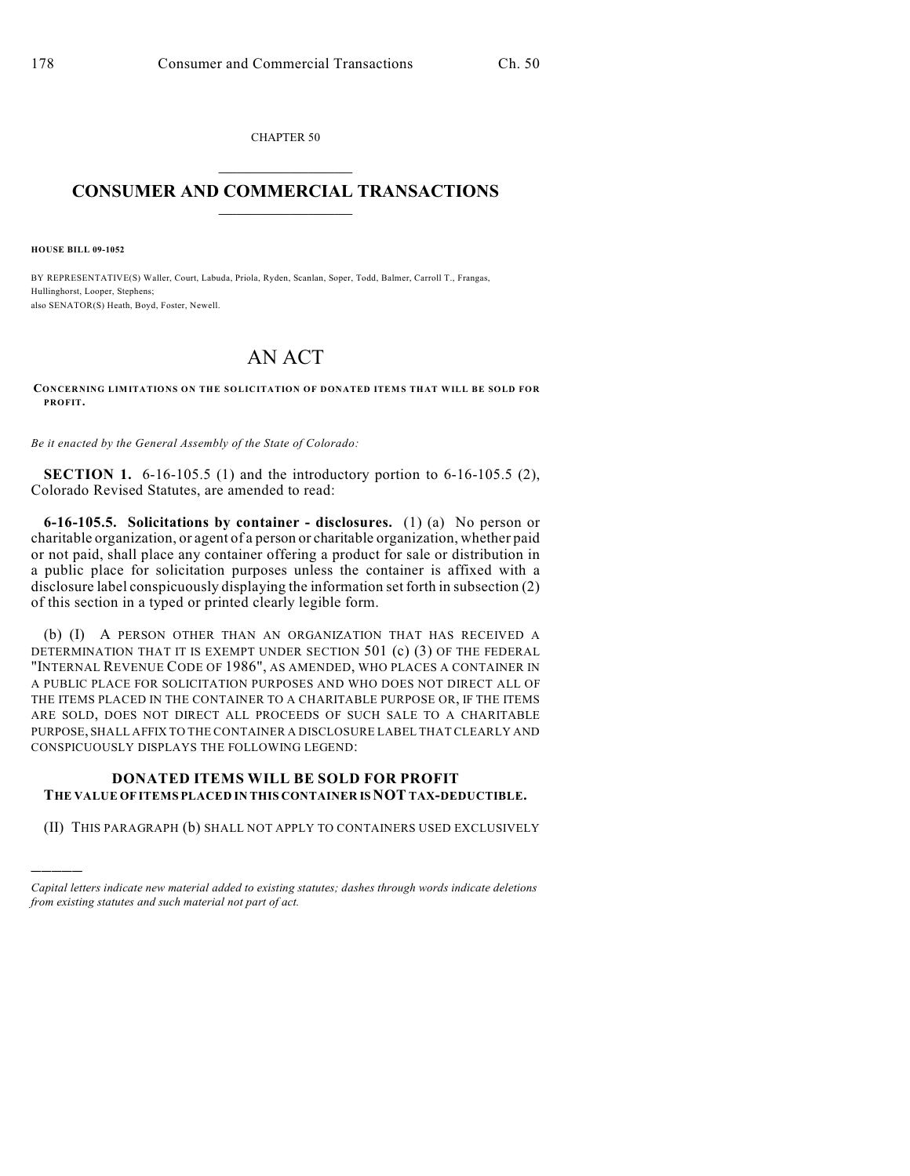CHAPTER 50  $\mathcal{L}_\text{max}$  . The set of the set of the set of the set of the set of the set of the set of the set of the set of the set of the set of the set of the set of the set of the set of the set of the set of the set of the set

## **CONSUMER AND COMMERCIAL TRANSACTIONS**  $\frac{1}{2}$  ,  $\frac{1}{2}$  ,  $\frac{1}{2}$  ,  $\frac{1}{2}$  ,  $\frac{1}{2}$  ,  $\frac{1}{2}$

**HOUSE BILL 09-1052**

)))))

BY REPRESENTATIVE(S) Waller, Court, Labuda, Priola, Ryden, Scanlan, Soper, Todd, Balmer, Carroll T., Frangas, Hullinghorst, Looper, Stephens; also SENATOR(S) Heath, Boyd, Foster, Newell.

## AN ACT

**CONCERNING LIMITATIONS ON THE SOLICITATION OF DONATED ITEMS THAT WILL BE SOLD FOR PROFIT.**

*Be it enacted by the General Assembly of the State of Colorado:*

**SECTION 1.** 6-16-105.5 (1) and the introductory portion to 6-16-105.5 (2), Colorado Revised Statutes, are amended to read:

**6-16-105.5. Solicitations by container - disclosures.** (1) (a) No person or charitable organization, or agent of a person or charitable organization, whether paid or not paid, shall place any container offering a product for sale or distribution in a public place for solicitation purposes unless the container is affixed with a disclosure label conspicuously displaying the information set forth in subsection (2) of this section in a typed or printed clearly legible form.

(b) (I) A PERSON OTHER THAN AN ORGANIZATION THAT HAS RECEIVED A DETERMINATION THAT IT IS EXEMPT UNDER SECTION 501 (c) (3) OF THE FEDERAL "INTERNAL REVENUE CODE OF 1986", AS AMENDED, WHO PLACES A CONTAINER IN A PUBLIC PLACE FOR SOLICITATION PURPOSES AND WHO DOES NOT DIRECT ALL OF THE ITEMS PLACED IN THE CONTAINER TO A CHARITABLE PURPOSE OR, IF THE ITEMS ARE SOLD, DOES NOT DIRECT ALL PROCEEDS OF SUCH SALE TO A CHARITABLE PURPOSE, SHALL AFFIX TO THE CONTAINER A DISCLOSURE LABEL THAT CLEARLY AND CONSPICUOUSLY DISPLAYS THE FOLLOWING LEGEND:

## **DONATED ITEMS WILL BE SOLD FOR PROFIT THE VALUE OF ITEMS PLACED IN THIS CONTAINER IS NOT TAX-DEDUCTIBLE.**

(II) THIS PARAGRAPH (b) SHALL NOT APPLY TO CONTAINERS USED EXCLUSIVELY

*Capital letters indicate new material added to existing statutes; dashes through words indicate deletions from existing statutes and such material not part of act.*